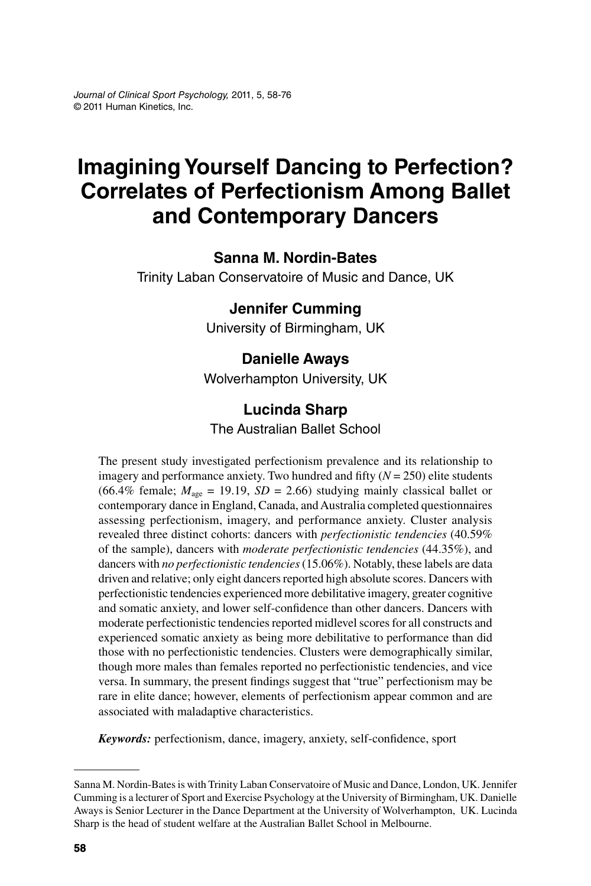# **Imagining Yourself Dancing to Perfection? Correlates of Perfectionism Among Ballet and Contemporary Dancers**

### **Sanna M. Nordin-Bates**

Trinity Laban Conservatoire of Music and Dance, UK

### **Jennifer Cumming**

University of Birmingham, UK

### **Danielle Aways**

Wolverhampton University, UK

### **Lucinda Sharp**

The Australian Ballet School

The present study investigated perfectionism prevalence and its relationship to imagery and performance anxiety. Two hundred and fifty  $(N = 250)$  elite students (66.4% female;  $M_{\text{age}} = 19.19$ ,  $SD = 2.66$ ) studying mainly classical ballet or contemporary dance in England, Canada, and Australia completed questionnaires assessing perfectionism, imagery, and performance anxiety. Cluster analysis revealed three distinct cohorts: dancers with *perfectionistic tendencies* (40.59% of the sample), dancers with *moderate perfectionistic tendencies* (44.35%), and dancers with *no perfectionistic tendencies* (15.06%). Notably, these labels are data driven and relative; only eight dancers reported high absolute scores. Dancers with perfectionistic tendencies experienced more debilitative imagery, greater cognitive and somatic anxiety, and lower self-confidence than other dancers. Dancers with moderate perfectionistic tendencies reported midlevel scores for all constructs and experienced somatic anxiety as being more debilitative to performance than did those with no perfectionistic tendencies. Clusters were demographically similar, though more males than females reported no perfectionistic tendencies, and vice versa. In summary, the present findings suggest that "true" perfectionism may be rare in elite dance; however, elements of perfectionism appear common and are associated with maladaptive characteristics.

*Keywords:* perfectionism, dance, imagery, anxiety, self-confidence, sport

Sanna M. Nordin-Bates is with Trinity Laban Conservatoire of Music and Dance, London, UK. Jennifer Cumming is a lecturer of Sport and Exercise Psychology at the University of Birmingham, UK. Danielle Aways is Senior Lecturer in the Dance Department at the University of Wolverhampton, UK. Lucinda Sharp is the head of student welfare at the Australian Ballet School in Melbourne.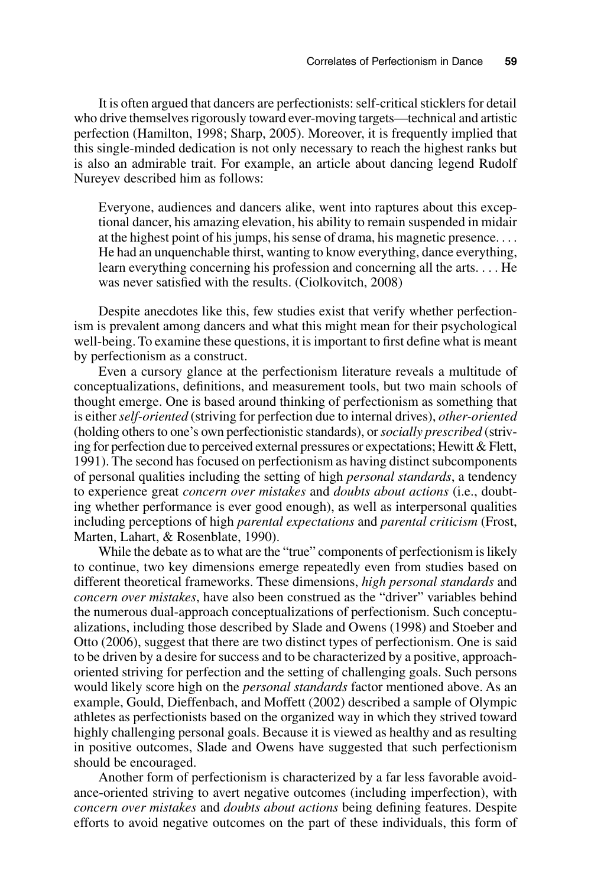It is often argued that dancers are perfectionists: self-critical sticklers for detail who drive themselves rigorously toward ever-moving targets—technical and artistic perfection (Hamilton, 1998; Sharp, 2005). Moreover, it is frequently implied that this single-minded dedication is not only necessary to reach the highest ranks but is also an admirable trait. For example, an article about dancing legend Rudolf Nureyev described him as follows:

Everyone, audiences and dancers alike, went into raptures about this exceptional dancer, his amazing elevation, his ability to remain suspended in midair at the highest point of his jumps, his sense of drama, his magnetic presence. . . . He had an unquenchable thirst, wanting to know everything, dance everything, learn everything concerning his profession and concerning all the arts. . . . He was never satisfied with the results. (Ciolkovitch, 2008)

Despite anecdotes like this, few studies exist that verify whether perfectionism is prevalent among dancers and what this might mean for their psychological well-being. To examine these questions, it is important to first define what is meant by perfectionism as a construct.

Even a cursory glance at the perfectionism literature reveals a multitude of conceptualizations, definitions, and measurement tools, but two main schools of thought emerge. One is based around thinking of perfectionism as something that is either *self-oriented* (striving for perfection due to internal drives), *other-oriented* (holding others to one's own perfectionistic standards), or *socially prescribed* (striving for perfection due to perceived external pressures or expectations; Hewitt & Flett, 1991). The second has focused on perfectionism as having distinct subcomponents of personal qualities including the setting of high *personal standards*, a tendency to experience great *concern over mistakes* and *doubts about actions* (i.e., doubting whether performance is ever good enough), as well as interpersonal qualities including perceptions of high *parental expectations* and *parental criticism* (Frost, Marten, Lahart, & Rosenblate, 1990).

While the debate as to what are the "true" components of perfectionism is likely to continue, two key dimensions emerge repeatedly even from studies based on different theoretical frameworks. These dimensions, *high personal standards* and *concern over mistakes*, have also been construed as the "driver" variables behind the numerous dual-approach conceptualizations of perfectionism. Such conceptualizations, including those described by Slade and Owens (1998) and Stoeber and Otto (2006), suggest that there are two distinct types of perfectionism. One is said to be driven by a desire for success and to be characterized by a positive, approachoriented striving for perfection and the setting of challenging goals. Such persons would likely score high on the *personal standards* factor mentioned above. As an example, Gould, Dieffenbach, and Moffett (2002) described a sample of Olympic athletes as perfectionists based on the organized way in which they strived toward highly challenging personal goals. Because it is viewed as healthy and as resulting in positive outcomes, Slade and Owens have suggested that such perfectionism should be encouraged.

Another form of perfectionism is characterized by a far less favorable avoidance-oriented striving to avert negative outcomes (including imperfection), with *concern over mistakes* and *doubts about actions* being defining features. Despite efforts to avoid negative outcomes on the part of these individuals, this form of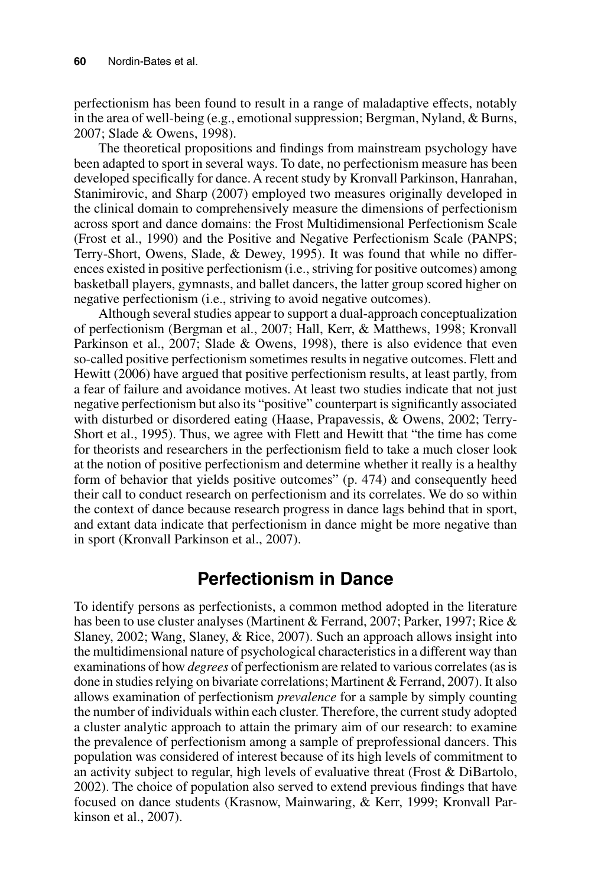perfectionism has been found to result in a range of maladaptive effects, notably in the area of well-being (e.g., emotional suppression; Bergman, Nyland, & Burns, 2007; Slade & Owens, 1998).

The theoretical propositions and findings from mainstream psychology have been adapted to sport in several ways. To date, no perfectionism measure has been developed specifically for dance. A recent study by Kronvall Parkinson, Hanrahan, Stanimirovic, and Sharp (2007) employed two measures originally developed in the clinical domain to comprehensively measure the dimensions of perfectionism across sport and dance domains: the Frost Multidimensional Perfectionism Scale (Frost et al., 1990) and the Positive and Negative Perfectionism Scale (PANPS; Terry-Short, Owens, Slade, & Dewey, 1995). It was found that while no differences existed in positive perfectionism (i.e., striving for positive outcomes) among basketball players, gymnasts, and ballet dancers, the latter group scored higher on negative perfectionism (i.e., striving to avoid negative outcomes).

Although several studies appear to support a dual-approach conceptualization of perfectionism (Bergman et al., 2007; Hall, Kerr, & Matthews, 1998; Kronvall Parkinson et al., 2007; Slade & Owens, 1998), there is also evidence that even so-called positive perfectionism sometimes results in negative outcomes. Flett and Hewitt (2006) have argued that positive perfectionism results, at least partly, from a fear of failure and avoidance motives. At least two studies indicate that not just negative perfectionism but also its "positive" counterpart is significantly associated with disturbed or disordered eating (Haase, Prapavessis, & Owens, 2002; Terry-Short et al., 1995). Thus, we agree with Flett and Hewitt that "the time has come for theorists and researchers in the perfectionism field to take a much closer look at the notion of positive perfectionism and determine whether it really is a healthy form of behavior that yields positive outcomes" (p. 474) and consequently heed their call to conduct research on perfectionism and its correlates. We do so within the context of dance because research progress in dance lags behind that in sport, and extant data indicate that perfectionism in dance might be more negative than in sport (Kronvall Parkinson et al., 2007).

## **Perfectionism in Dance**

To identify persons as perfectionists, a common method adopted in the literature has been to use cluster analyses (Martinent & Ferrand, 2007; Parker, 1997; Rice & Slaney, 2002; Wang, Slaney, & Rice, 2007). Such an approach allows insight into the multidimensional nature of psychological characteristics in a different way than examinations of how *degrees* of perfectionism are related to various correlates (as is done in studies relying on bivariate correlations; Martinent & Ferrand, 2007). It also allows examination of perfectionism *prevalence* for a sample by simply counting the number of individuals within each cluster. Therefore, the current study adopted a cluster analytic approach to attain the primary aim of our research: to examine the prevalence of perfectionism among a sample of preprofessional dancers. This population was considered of interest because of its high levels of commitment to an activity subject to regular, high levels of evaluative threat (Frost & DiBartolo, 2002). The choice of population also served to extend previous findings that have focused on dance students (Krasnow, Mainwaring, & Kerr, 1999; Kronvall Parkinson et al., 2007).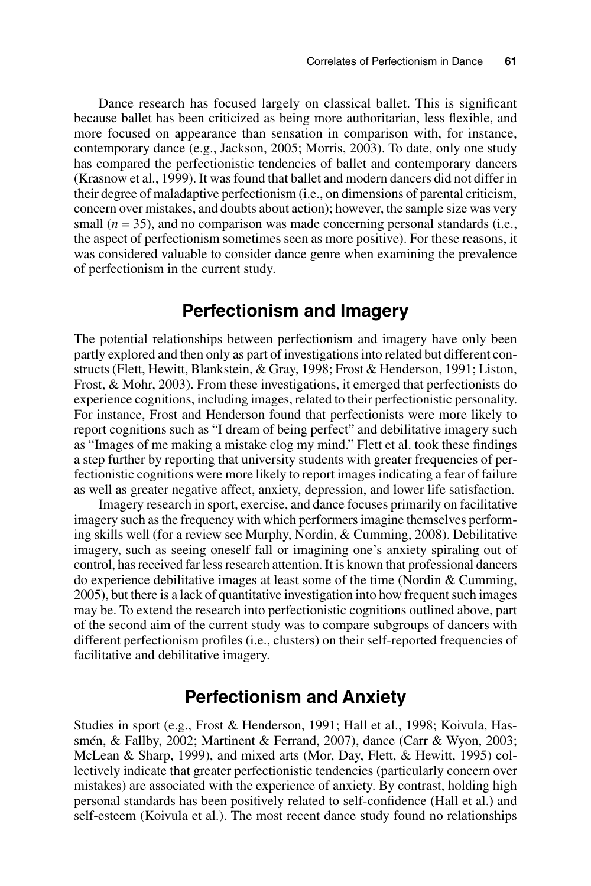Dance research has focused largely on classical ballet. This is significant because ballet has been criticized as being more authoritarian, less flexible, and more focused on appearance than sensation in comparison with, for instance, contemporary dance (e.g., Jackson, 2005; Morris, 2003). To date, only one study has compared the perfectionistic tendencies of ballet and contemporary dancers (Krasnow et al., 1999). It was found that ballet and modern dancers did not differ in their degree of maladaptive perfectionism (i.e., on dimensions of parental criticism, concern over mistakes, and doubts about action); however, the sample size was very small  $(n = 35)$ , and no comparison was made concerning personal standards (i.e., the aspect of perfectionism sometimes seen as more positive). For these reasons, it was considered valuable to consider dance genre when examining the prevalence of perfectionism in the current study.

## **Perfectionism and Imagery**

The potential relationships between perfectionism and imagery have only been partly explored and then only as part of investigations into related but different constructs (Flett, Hewitt, Blankstein, & Gray, 1998; Frost & Henderson, 1991; Liston, Frost, & Mohr, 2003). From these investigations, it emerged that perfectionists do experience cognitions, including images, related to their perfectionistic personality. For instance, Frost and Henderson found that perfectionists were more likely to report cognitions such as "I dream of being perfect" and debilitative imagery such as "Images of me making a mistake clog my mind." Flett et al. took these findings a step further by reporting that university students with greater frequencies of perfectionistic cognitions were more likely to report images indicating a fear of failure as well as greater negative affect, anxiety, depression, and lower life satisfaction.

Imagery research in sport, exercise, and dance focuses primarily on facilitative imagery such as the frequency with which performers imagine themselves performing skills well (for a review see Murphy, Nordin, & Cumming, 2008). Debilitative imagery, such as seeing oneself fall or imagining one's anxiety spiraling out of control, has received far less research attention. It is known that professional dancers do experience debilitative images at least some of the time (Nordin & Cumming, 2005), but there is a lack of quantitative investigation into how frequent such images may be. To extend the research into perfectionistic cognitions outlined above, part of the second aim of the current study was to compare subgroups of dancers with different perfectionism profiles (i.e., clusters) on their self-reported frequencies of facilitative and debilitative imagery.

## **Perfectionism and Anxiety**

Studies in sport (e.g., Frost & Henderson, 1991; Hall et al., 1998; Koivula, Hassmén, & Fallby, 2002; Martinent & Ferrand, 2007), dance (Carr & Wyon, 2003; McLean & Sharp, 1999), and mixed arts (Mor, Day, Flett, & Hewitt, 1995) collectively indicate that greater perfectionistic tendencies (particularly concern over mistakes) are associated with the experience of anxiety. By contrast, holding high personal standards has been positively related to self-confidence (Hall et al.) and self-esteem (Koivula et al.). The most recent dance study found no relationships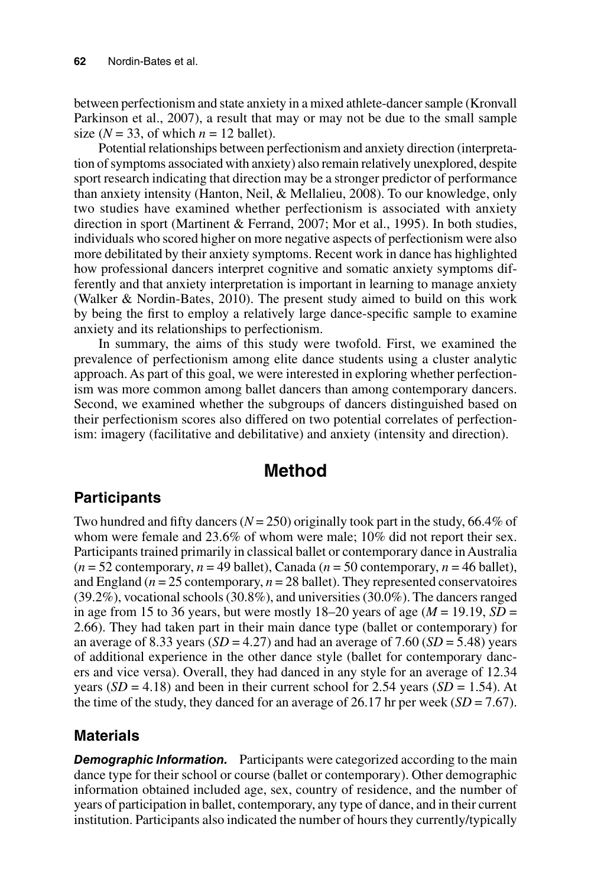between perfectionism and state anxiety in a mixed athlete-dancer sample (Kronvall Parkinson et al., 2007), a result that may or may not be due to the small sample size ( $N = 33$ , of which  $n = 12$  ballet).

Potential relationships between perfectionism and anxiety direction (interpretation of symptoms associated with anxiety) also remain relatively unexplored, despite sport research indicating that direction may be a stronger predictor of performance than anxiety intensity (Hanton, Neil, & Mellalieu, 2008). To our knowledge, only two studies have examined whether perfectionism is associated with anxiety direction in sport (Martinent & Ferrand, 2007; Mor et al., 1995). In both studies, individuals who scored higher on more negative aspects of perfectionism were also more debilitated by their anxiety symptoms. Recent work in dance has highlighted how professional dancers interpret cognitive and somatic anxiety symptoms differently and that anxiety interpretation is important in learning to manage anxiety (Walker & Nordin-Bates, 2010). The present study aimed to build on this work by being the first to employ a relatively large dance-specific sample to examine anxiety and its relationships to perfectionism.

In summary, the aims of this study were twofold. First, we examined the prevalence of perfectionism among elite dance students using a cluster analytic approach. As part of this goal, we were interested in exploring whether perfectionism was more common among ballet dancers than among contemporary dancers. Second, we examined whether the subgroups of dancers distinguished based on their perfectionism scores also differed on two potential correlates of perfectionism: imagery (facilitative and debilitative) and anxiety (intensity and direction).

## **Method**

## **Participants**

Two hundred and fifty dancers  $(N = 250)$  originally took part in the study, 66.4% of whom were female and 23.6% of whom were male; 10% did not report their sex. Participants trained primarily in classical ballet or contemporary dance in Australia  $(n = 52$  contemporary,  $n = 49$  ballet), Canada  $(n = 50$  contemporary,  $n = 46$  ballet), and England ( $n = 25$  contemporary,  $n = 28$  ballet). They represented conservatoires (39.2%), vocational schools (30.8%), and universities (30.0%). The dancers ranged in age from 15 to 36 years, but were mostly 18–20 years of age  $(M = 19.19, SD =$ 2.66). They had taken part in their main dance type (ballet or contemporary) for an average of 8.33 years ( $SD = 4.27$ ) and had an average of 7.60 ( $SD = 5.48$ ) years of additional experience in the other dance style (ballet for contemporary dancers and vice versa). Overall, they had danced in any style for an average of 12.34 years  $(SD = 4.18)$  and been in their current school for 2.54 years  $(SD = 1.54)$ . At the time of the study, they danced for an average of 26.17 hr per week  $(SD = 7.67)$ .

### **Materials**

**Demographic Information.** Participants were categorized according to the main dance type for their school or course (ballet or contemporary). Other demographic information obtained included age, sex, country of residence, and the number of years of participation in ballet, contemporary, any type of dance, and in their current institution. Participants also indicated the number of hours they currently/typically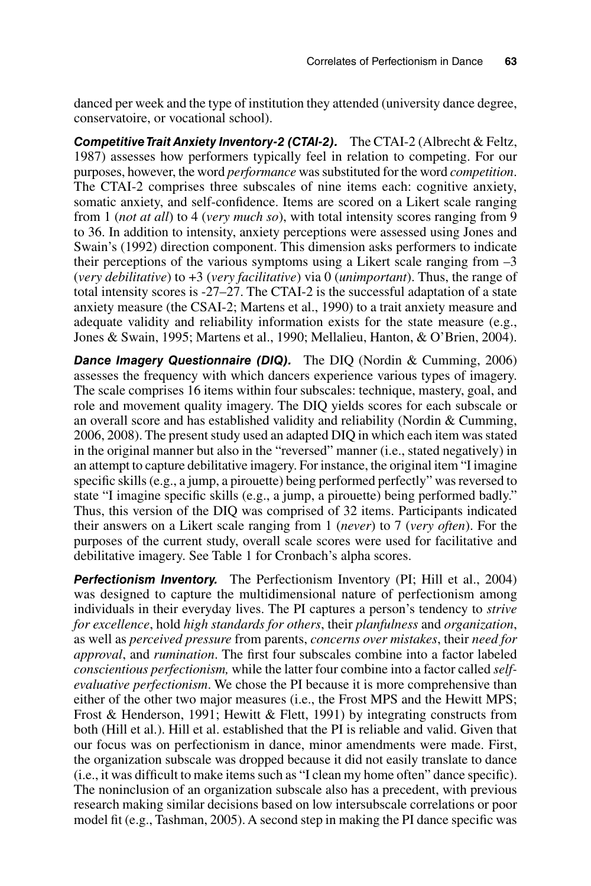danced per week and the type of institution they attended (university dance degree, conservatoire, or vocational school).

*Competitive Trait Anxiety Inventory-2 (CTAI-2).* The CTAI-2 (Albrecht & Feltz, 1987) assesses how performers typically feel in relation to competing. For our purposes, however, the word *performance* was substituted for the word *competition*. The CTAI-2 comprises three subscales of nine items each: cognitive anxiety, somatic anxiety, and self-confidence. Items are scored on a Likert scale ranging from 1 (*not at all*) to 4 (*very much so*), with total intensity scores ranging from 9 to 36. In addition to intensity, anxiety perceptions were assessed using Jones and Swain's (1992) direction component. This dimension asks performers to indicate their perceptions of the various symptoms using a Likert scale ranging from  $-3$ (*very debilitative*) to +3 (*very facilitative*) via 0 (*unimportant*). Thus, the range of total intensity scores is -27–27. The CTAI-2 is the successful adaptation of a state anxiety measure (the CSAI-2; Martens et al., 1990) to a trait anxiety measure and adequate validity and reliability information exists for the state measure (e.g., Jones & Swain, 1995; Martens et al., 1990; Mellalieu, Hanton, & O'Brien, 2004).

**Dance Imagery Questionnaire (DIQ).** The DIQ (Nordin & Cumming, 2006) assesses the frequency with which dancers experience various types of imagery. The scale comprises 16 items within four subscales: technique, mastery, goal, and role and movement quality imagery. The DIQ yields scores for each subscale or an overall score and has established validity and reliability (Nordin & Cumming, 2006, 2008). The present study used an adapted DIQ in which each item was stated in the original manner but also in the "reversed" manner (i.e., stated negatively) in an attempt to capture debilitative imagery. For instance, the original item "I imagine specific skills (e.g., a jump, a pirouette) being performed perfectly" was reversed to state "I imagine specific skills (e.g., a jump, a pirouette) being performed badly." Thus, this version of the DIQ was comprised of 32 items. Participants indicated their answers on a Likert scale ranging from 1 (*never*) to 7 (*very often*). For the purposes of the current study, overall scale scores were used for facilitative and debilitative imagery. See Table 1 for Cronbach's alpha scores.

*Perfectionism Inventory.* The Perfectionism Inventory (PI; Hill et al., 2004) was designed to capture the multidimensional nature of perfectionism among individuals in their everyday lives. The PI captures a person's tendency to *strive for excellence*, hold *high standards for others*, their *planfulness* and *organization*, as well as *perceived pressure* from parents, *concerns over mistakes*, their *need for approval*, and *rumination*. The first four subscales combine into a factor labeled *conscientious perfectionism,* while the latter four combine into a factor called *selfevaluative perfectionism*. We chose the PI because it is more comprehensive than either of the other two major measures (i.e., the Frost MPS and the Hewitt MPS; Frost & Henderson, 1991; Hewitt & Flett, 1991) by integrating constructs from both (Hill et al.). Hill et al. established that the PI is reliable and valid. Given that our focus was on perfectionism in dance, minor amendments were made. First, the organization subscale was dropped because it did not easily translate to dance (i.e., it was difficult to make items such as "I clean my home often" dance specific). The noninclusion of an organization subscale also has a precedent, with previous research making similar decisions based on low intersubscale correlations or poor model fit (e.g., Tashman, 2005). A second step in making the PI dance specific was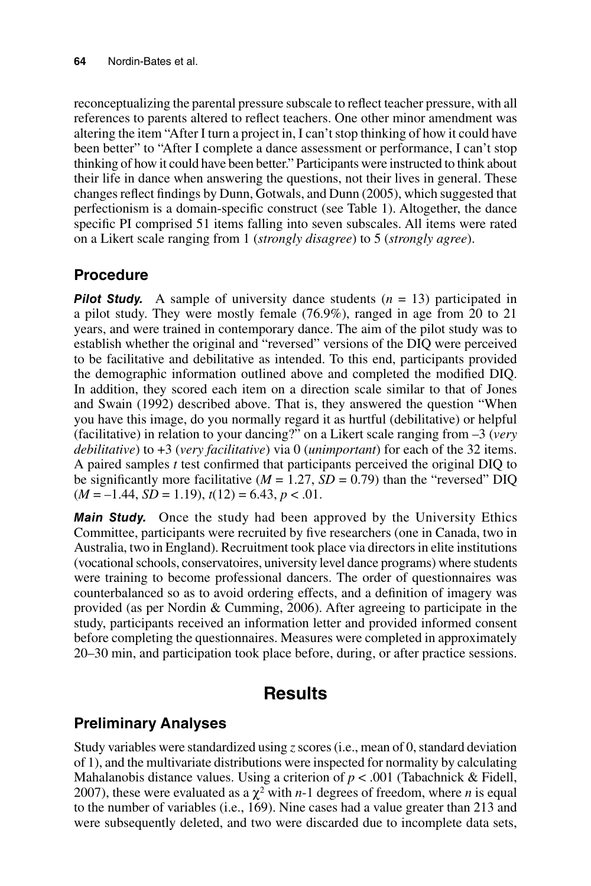reconceptualizing the parental pressure subscale to reflect teacher pressure, with all references to parents altered to reflect teachers. One other minor amendment was altering the item "After I turn a project in, I can't stop thinking of how it could have been better" to "After I complete a dance assessment or performance, I can't stop thinking of how it could have been better." Participants were instructed to think about their life in dance when answering the questions, not their lives in general. These changes reflect findings by Dunn, Gotwals, and Dunn (2005), which suggested that perfectionism is a domain-specific construct (see Table 1). Altogether, the dance specific PI comprised 51 items falling into seven subscales. All items were rated on a Likert scale ranging from 1 (*strongly disagree*) to 5 (*strongly agree*).

## **Procedure**

**Pilot Study.** A sample of university dance students (*n* = 13) participated in a pilot study. They were mostly female (76.9%), ranged in age from 20 to 21 years, and were trained in contemporary dance. The aim of the pilot study was to establish whether the original and "reversed" versions of the DIQ were perceived to be facilitative and debilitative as intended. To this end, participants provided the demographic information outlined above and completed the modified DIQ. In addition, they scored each item on a direction scale similar to that of Jones and Swain (1992) described above. That is, they answered the question "When you have this image, do you normally regard it as hurtful (debilitative) or helpful (facilitative) in relation to your dancing?" on a Likert scale ranging from –3 (*very debilitative*) to +3 (*very facilitative*) via 0 (*unimportant*) for each of the 32 items. A paired samples *t* test confirmed that participants perceived the original DIQ to be significantly more facilitative ( $M = 1.27$ ,  $SD = 0.79$ ) than the "reversed" DIQ  $(M = -1.44, SD = 1.19), t(12) = 6.43, p < .01.$ 

*Main Study.* Once the study had been approved by the University Ethics Committee, participants were recruited by five researchers (one in Canada, two in Australia, two in England). Recruitment took place via directors in elite institutions (vocational schools, conservatoires, university level dance programs) where students were training to become professional dancers. The order of questionnaires was counterbalanced so as to avoid ordering effects, and a definition of imagery was provided (as per Nordin & Cumming, 2006). After agreeing to participate in the study, participants received an information letter and provided informed consent before completing the questionnaires. Measures were completed in approximately 20–30 min, and participation took place before, during, or after practice sessions.

## **Results**

## **Preliminary Analyses**

Study variables were standardized using *z* scores (i.e., mean of 0, standard deviation of 1), and the multivariate distributions were inspected for normality by calculating Mahalanobis distance values. Using a criterion of  $p < .001$  (Tabachnick & Fidell, 2007), these were evaluated as a  $\chi^2$  with *n*-1 degrees of freedom, where *n* is equal to the number of variables (i.e., 169). Nine cases had a value greater than 213 and were subsequently deleted, and two were discarded due to incomplete data sets,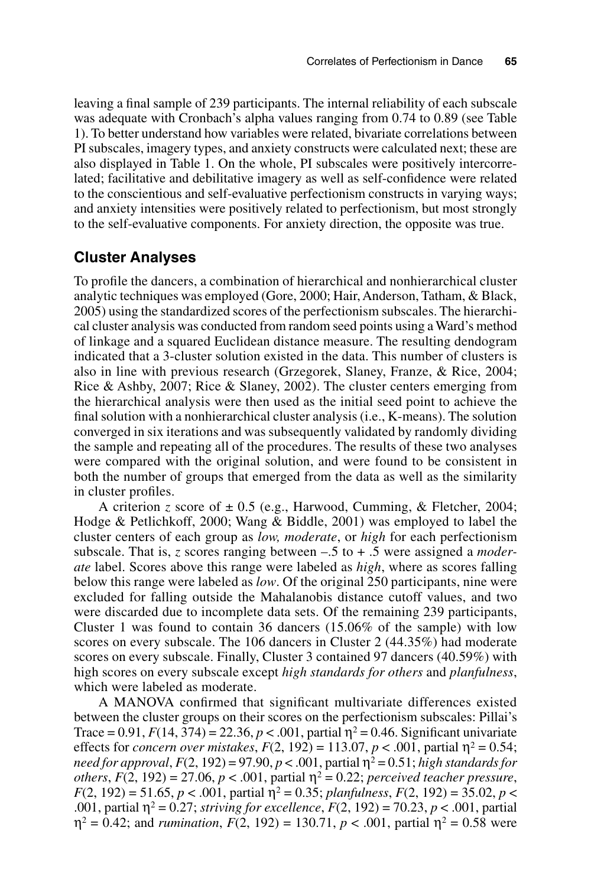leaving a final sample of 239 participants. The internal reliability of each subscale was adequate with Cronbach's alpha values ranging from 0.74 to 0.89 (see Table 1). To better understand how variables were related, bivariate correlations between PI subscales, imagery types, and anxiety constructs were calculated next; these are also displayed in Table 1. On the whole, PI subscales were positively intercorrelated; facilitative and debilitative imagery as well as self-confidence were related to the conscientious and self-evaluative perfectionism constructs in varying ways; and anxiety intensities were positively related to perfectionism, but most strongly to the self-evaluative components. For anxiety direction, the opposite was true.

### **Cluster Analyses**

To profile the dancers, a combination of hierarchical and nonhierarchical cluster analytic techniques was employed (Gore, 2000; Hair, Anderson, Tatham, & Black, 2005) using the standardized scores of the perfectionism subscales. The hierarchical cluster analysis was conducted from random seed points using a Ward's method of linkage and a squared Euclidean distance measure. The resulting dendogram indicated that a 3-cluster solution existed in the data. This number of clusters is also in line with previous research (Grzegorek, Slaney, Franze, & Rice, 2004; Rice & Ashby, 2007; Rice & Slaney, 2002). The cluster centers emerging from the hierarchical analysis were then used as the initial seed point to achieve the final solution with a nonhierarchical cluster analysis (i.e., K-means). The solution converged in six iterations and was subsequently validated by randomly dividing the sample and repeating all of the procedures. The results of these two analyses were compared with the original solution, and were found to be consistent in both the number of groups that emerged from the data as well as the similarity in cluster profiles.

A criterion *z* score of  $\pm$  0.5 (e.g., Harwood, Cumming, & Fletcher, 2004; Hodge & Petlichkoff, 2000; Wang & Biddle, 2001) was employed to label the cluster centers of each group as *low, moderate*, or *high* for each perfectionism subscale. That is, *z* scores ranging between –.5 to + .5 were assigned a *moderate* label. Scores above this range were labeled as *high*, where as scores falling below this range were labeled as *low*. Of the original 250 participants, nine were excluded for falling outside the Mahalanobis distance cutoff values, and two were discarded due to incomplete data sets. Of the remaining 239 participants, Cluster 1 was found to contain 36 dancers (15.06% of the sample) with low scores on every subscale. The 106 dancers in Cluster 2 (44.35%) had moderate scores on every subscale. Finally, Cluster 3 contained 97 dancers (40.59%) with high scores on every subscale except *high standards for others* and *planfulness*, which were labeled as moderate.

A MANOVA confirmed that significant multivariate differences existed between the cluster groups on their scores on the perfectionism subscales: Pillai's Trace = 0.91,  $F(14, 374) = 22.36$ ,  $p < .001$ , partial  $\eta^2 = 0.46$ . Significant univariate effects for *concern over mistakes*,  $F(2, 192) = 113.07$ ,  $p < .001$ , partial  $\eta^2 = 0.54$ ; *need for approval, F*(2, 192) = 97.90,  $p < .001$ , partial  $\eta^2 = 0.51$ ; *high standards for others*,  $F(2, 192) = 27.06$ ,  $p < .001$ , partial  $\eta^2 = 0.22$ ; *perceived teacher pressure*,  $F(2, 192) = 51.65, p < .001$ , partial  $\eta^2 = 0.35$ ; *planfulness*,  $F(2, 192) = 35.02, p <$ .001, partial  $η^2 = 0.27$ ; *striving for excellence*,  $F(2, 192) = 70.23$ ,  $p < .001$ , partial  $\n **n**<sup>2</sup> = 0.42$ ; and *rumination*,  $F(2, 192) = 130.71$ ,  $p < .001$ , partial  $\n **n**<sup>2</sup> = 0.58$  were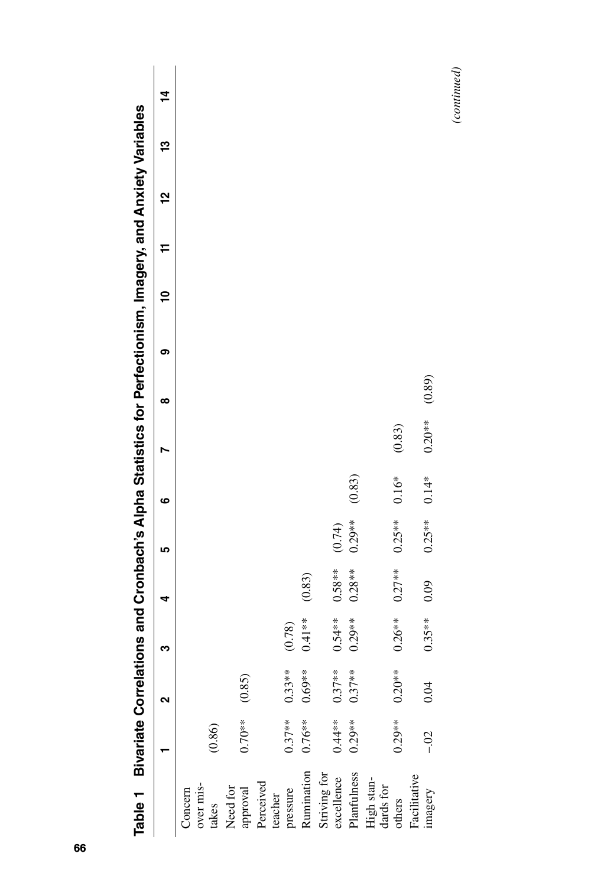| Table 1 Bivariate Correlations and Cronbach's Alpha Statistics for Perfectionism, Imagery, and Anxiety Variables |           |           |          |           |           |         |          |        |   |   |   |          |   |             |
|------------------------------------------------------------------------------------------------------------------|-----------|-----------|----------|-----------|-----------|---------|----------|--------|---|---|---|----------|---|-------------|
|                                                                                                                  |           | ິ         | ო        | 4         | ۱Ω        | ဖ       |          | ∞      | თ | Ş | F | <u>언</u> | చ | $\dot{a}$   |
| Concern                                                                                                          |           |           |          |           |           |         |          |        |   |   |   |          |   |             |
| over mis-                                                                                                        |           |           |          |           |           |         |          |        |   |   |   |          |   |             |
| takes                                                                                                            | (0.86)    |           |          |           |           |         |          |        |   |   |   |          |   |             |
| Need for                                                                                                         |           |           |          |           |           |         |          |        |   |   |   |          |   |             |
| approval                                                                                                         | $0.70**$  | (0.85)    |          |           |           |         |          |        |   |   |   |          |   |             |
| Perceived                                                                                                        |           |           |          |           |           |         |          |        |   |   |   |          |   |             |
| teacher                                                                                                          |           |           |          |           |           |         |          |        |   |   |   |          |   |             |
| pressure                                                                                                         | $0.37**$  | $0.33**$  | (0.78)   |           |           |         |          |        |   |   |   |          |   |             |
| Rumination                                                                                                       | $0.76**$  | $0.69**$  | $0.41**$ | (0.83)    |           |         |          |        |   |   |   |          |   |             |
| Striving for                                                                                                     |           |           |          |           |           |         |          |        |   |   |   |          |   |             |
| excellence                                                                                                       | $0.44**$  | $0.37**$  | $0.54**$ | $0.58***$ | (0.74)    |         |          |        |   |   |   |          |   |             |
| Planfulness                                                                                                      | $0.29**$  | $0.37***$ | $0.29**$ | $0.28**$  | $0.29***$ | (0.83)  |          |        |   |   |   |          |   |             |
| High stan-<br>dards for                                                                                          |           |           |          |           |           |         |          |        |   |   |   |          |   |             |
| others                                                                                                           | $0.29***$ | $0.20**$  | $0.26**$ | $0.27***$ | $0.25**$  | $0.16*$ | (0.83)   |        |   |   |   |          |   |             |
| Facilitative                                                                                                     |           |           |          |           |           |         |          |        |   |   |   |          |   |             |
| imagery                                                                                                          | $-0.02$   | 0.04      | $0.35**$ | 0.09      | $0.25**$  | $0.14*$ | $0.20**$ | (0.89) |   |   |   |          |   |             |
|                                                                                                                  |           |           |          |           |           |         |          |        |   |   |   |          |   | (continued) |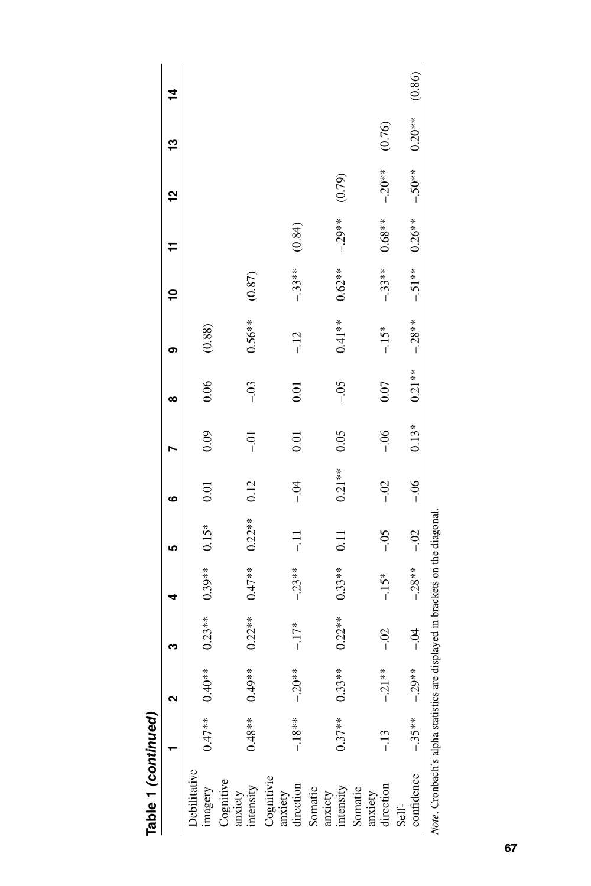|                                       |           |                   | ო                                     |          | LŊ                | ဖ        |         | ထ        | တ        | ₽         |           | <u>ي</u> | ఞ        | $\tilde{4}$ |
|---------------------------------------|-----------|-------------------|---------------------------------------|----------|-------------------|----------|---------|----------|----------|-----------|-----------|----------|----------|-------------|
| <b>Debilitative</b><br>imagery        |           | $0.47**$ $0.40**$ | $0.23**$                              | $0.39**$ | $0.15*$           | 0.01     | 0.09    | 0.06     | (0.88)   |           |           |          |          |             |
| Cognitive<br>anxiety<br>intensity     | $0.48***$ | $0.49**$          | $0.22**$                              | $0.47**$ | $0.22**$          | 0.12     | iÒ-     | $-0.03$  | $0.56**$ | (0.87)    |           |          |          |             |
| Cognitivie<br>anxiety<br>direction    | $-.18**$  | $-20**$           | $-17*$                                | $-23**$  | $\Xi$             | $-0.4$   | 0.01    | 0.01     | $-12$    | $-33**$   | (0.84)    |          |          |             |
| Somatic<br>anxiety<br>intensity       | $0.37**$  | $0.33**$          | $0.22**$                              | $0.33**$ | $\overline{0.11}$ | $0.21**$ | 0.05    | $-0.5$   | $0.41**$ | $0.62**$  | $-29**$   | (0.79)   |          |             |
| direction<br>Somatic<br>anxiety       | $-13$     | $-21**$           | $-0.02$                               | $-15*$   | $-0.5$            | $-0.02$  | $-06$   | 0.07     | $-15*$   | $-33**$   | $0.68***$ | $-20**$  | (0.76)   |             |
| confidence<br>Self-                   | $-.35**$  | $-29**$           | $-0.4$                                | $-28**$  | $-0.2$            | $-06$    | $0.13*$ | $0.21**$ | $-28**$  | $-.51***$ | $0.26**$  | $-.50**$ | $0.20**$ | (0.86)      |
| Note. Cronbach's alpha statistics are |           |                   | displayed in brackets on the diagonal |          |                   |          |         |          |          |           |           |          |          |             |

Table 1 (continued) **Table 1** *(continued)*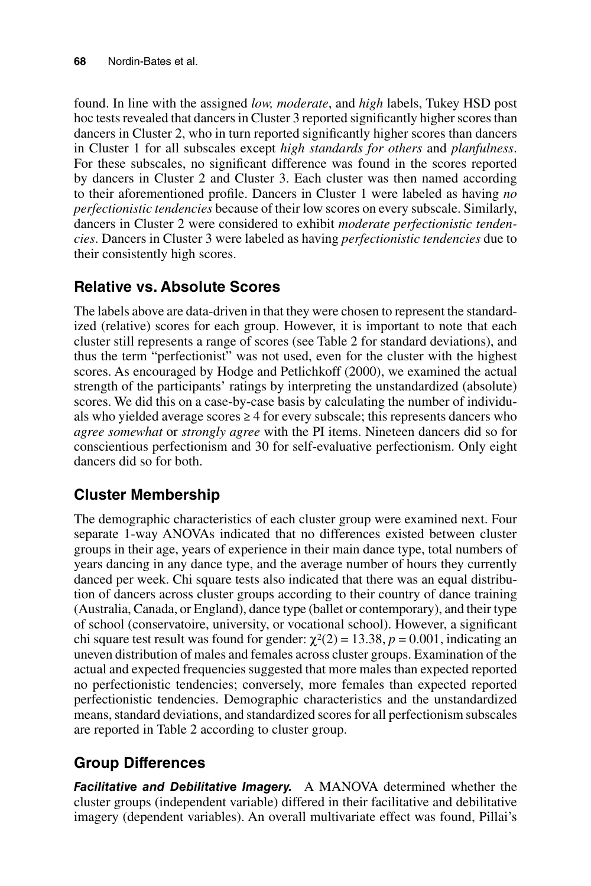found. In line with the assigned *low, moderate*, and *high* labels, Tukey HSD post hoc tests revealed that dancers in Cluster 3 reported significantly higher scores than dancers in Cluster 2, who in turn reported significantly higher scores than dancers in Cluster 1 for all subscales except *high standards for others* and *planfulness*. For these subscales, no significant difference was found in the scores reported by dancers in Cluster 2 and Cluster 3. Each cluster was then named according to their aforementioned profile. Dancers in Cluster 1 were labeled as having *no perfectionistic tendencies* because of their low scores on every subscale. Similarly, dancers in Cluster 2 were considered to exhibit *moderate perfectionistic tendencies*. Dancers in Cluster 3 were labeled as having *perfectionistic tendencies* due to their consistently high scores.

## **Relative vs. Absolute Scores**

The labels above are data-driven in that they were chosen to represent the standardized (relative) scores for each group. However, it is important to note that each cluster still represents a range of scores (see Table 2 for standard deviations), and thus the term "perfectionist" was not used, even for the cluster with the highest scores. As encouraged by Hodge and Petlichkoff (2000), we examined the actual strength of the participants' ratings by interpreting the unstandardized (absolute) scores. We did this on a case-by-case basis by calculating the number of individuals who yielded average scores  $\geq 4$  for every subscale; this represents dancers who *agree somewhat* or *strongly agree* with the PI items. Nineteen dancers did so for conscientious perfectionism and 30 for self-evaluative perfectionism. Only eight dancers did so for both.

## **Cluster Membership**

The demographic characteristics of each cluster group were examined next. Four separate 1-way ANOVAs indicated that no differences existed between cluster groups in their age, years of experience in their main dance type, total numbers of years dancing in any dance type, and the average number of hours they currently danced per week. Chi square tests also indicated that there was an equal distribution of dancers across cluster groups according to their country of dance training (Australia, Canada, or England), dance type (ballet or contemporary), and their type of school (conservatoire, university, or vocational school). However, a significant chi square test result was found for gender:  $\chi^2(2) = 13.38$ ,  $p = 0.001$ , indicating an uneven distribution of males and females across cluster groups. Examination of the actual and expected frequencies suggested that more males than expected reported no perfectionistic tendencies; conversely, more females than expected reported perfectionistic tendencies. Demographic characteristics and the unstandardized means, standard deviations, and standardized scores for all perfectionism subscales are reported in Table 2 according to cluster group.

## **Group Differences**

*Facilitative and Debilitative Imagery.* A MANOVA determined whether the cluster groups (independent variable) differed in their facilitative and debilitative imagery (dependent variables). An overall multivariate effect was found, Pillai's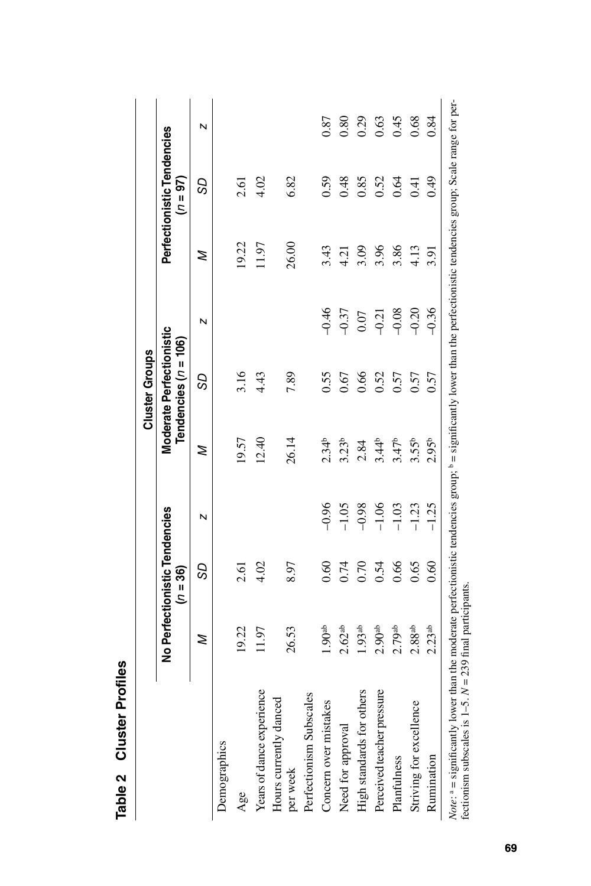|                                                                                                                                                                                                                                               |                               |                |         |                   | <b>Cluster Groups</b>                              |         |       |                                          |      |
|-----------------------------------------------------------------------------------------------------------------------------------------------------------------------------------------------------------------------------------------------|-------------------------------|----------------|---------|-------------------|----------------------------------------------------|---------|-------|------------------------------------------|------|
|                                                                                                                                                                                                                                               | No Perfectionistic Tendencies | $(n = 36)$     |         |                   | Moderate Perfectionistic<br>Tendencies $(n = 106)$ |         |       | Perfectionistic Tendencies<br>$(n = 97)$ |      |
|                                                                                                                                                                                                                                               | z                             | S <sub>2</sub> | N       | z                 | S <sub>D</sub>                                     | N       | z     | S <sub>2</sub>                           | N    |
| Demographics                                                                                                                                                                                                                                  |                               |                |         |                   |                                                    |         |       |                                          |      |
| Age                                                                                                                                                                                                                                           | 19.22                         | 2.61           |         | 19.57             | 3.16                                               |         | 19.22 | 2.61                                     |      |
| Years of dance experience                                                                                                                                                                                                                     | 11.97                         | 4.02           |         | 12.40             | 4.43                                               |         | 11.97 | 4.02                                     |      |
| Hours currently danced<br>per week                                                                                                                                                                                                            | 26.53                         | 8.97           |         | 26.14             | 7.89                                               |         | 26.00 | 6.82                                     |      |
| Perfectionism Subscales                                                                                                                                                                                                                       |                               |                |         |                   |                                                    |         |       |                                          |      |
| Concern over mistakes                                                                                                                                                                                                                         | 1.90 <sup>ab</sup>            | 0.60           | $-0.96$ | $2.34^{b}$        | 0.55                                               | $-0.46$ | 3.43  | 0.59                                     | 0.87 |
| Need for approval                                                                                                                                                                                                                             | 2.62 <sup>ab</sup>            | 0.74           | $-1.05$ | 3.23 <sup>b</sup> | 0.67                                               | $-0.37$ | 4.21  | 0.48                                     | 0.80 |
| High standards for others                                                                                                                                                                                                                     | 1.93 <sup>ab</sup>            | 0.70           | $-0.98$ | 2.84              | 0.66                                               | 0.07    | 3.09  | 0.85                                     | 0.29 |
| Perceived teacher pressure                                                                                                                                                                                                                    | 2.90 <sup>ab</sup>            | 0.54           | $-1.06$ | $3.44^{b}$        | 0.52                                               | $-0.21$ | 3.96  | 0.52                                     | 0.63 |
| Planfulness                                                                                                                                                                                                                                   | 2.79 <sup>ab</sup>            | 0.66           | $-1.03$ | 3.47 <sup>b</sup> | 0.57                                               | $-0.08$ | 3.86  | 0.64                                     | 0.45 |
| Striving for excellence                                                                                                                                                                                                                       | 2.88ab                        | 0.65           | $-1.23$ | 3.55 <sup>b</sup> | 0.57                                               | $-0.20$ | 4.13  | 0.41                                     | 0.68 |
| Rumination                                                                                                                                                                                                                                    | 2.23 <sup>ab</sup>            | 0.60           | $-1.25$ | 2.95 <sup>b</sup> | 0.57                                               | $-0.36$ | 3.91  | 64.0                                     | 0.84 |
| Note: $a =$ significantly lower than the moderate perfectionistic tendencies group; $b =$ significantly lower than the perfectionistic tendencies group; Scale range for per-<br>fectionism subscales is $1-5$ . $N = 239$ final participants |                               |                |         |                   |                                                    |         |       |                                          |      |

Table 2 Cluster Profiles **Table 2 Cluster Profiles**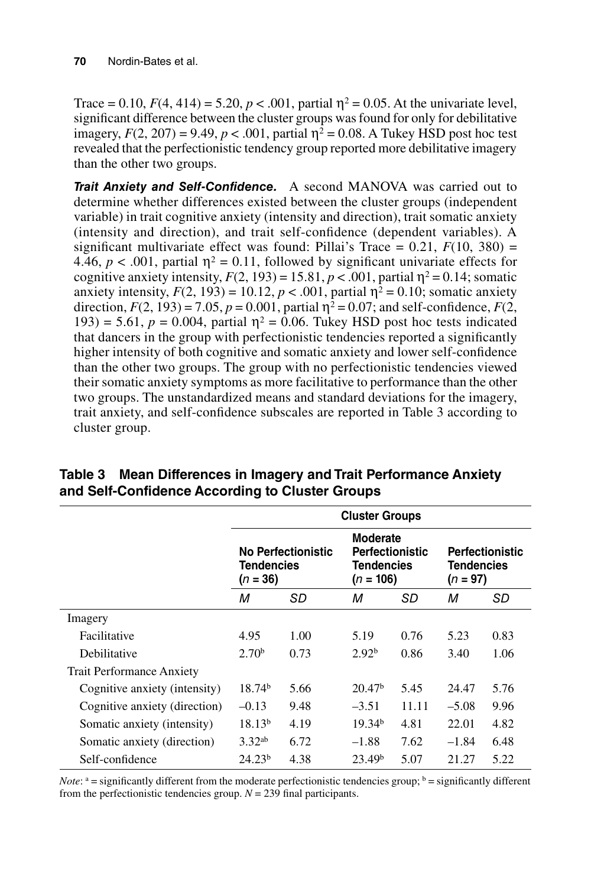Trace = 0.10,  $F(4, 414) = 5.20$ ,  $p < .001$ , partial  $\eta^2 = 0.05$ . At the univariate level, significant difference between the cluster groups was found for only for debilitative imagery,  $F(2, 207) = 9.49$ ,  $p < .001$ , partial  $\eta^2 = 0.08$ . A Tukey HSD post hoc test revealed that the perfectionistic tendency group reported more debilitative imagery than the other two groups.

*Trait Anxiety and Self-Confidence.* A second MANOVA was carried out to determine whether differences existed between the cluster groups (independent variable) in trait cognitive anxiety (intensity and direction), trait somatic anxiety (intensity and direction), and trait self-confidence (dependent variables). A significant multivariate effect was found: Pillai's Trace =  $0.21$ ,  $F(10, 380)$  = 4.46,  $p < .001$ , partial  $\eta^2 = 0.11$ , followed by significant univariate effects for cognitive anxiety intensity,  $F(2, 193) = 15.81$ ,  $p < .001$ , partial  $\eta^2 = 0.14$ ; somatic anxiety intensity,  $F(2, 193) = 10.12$ ,  $p < .001$ , partial  $\eta^2 = 0.10$ ; somatic anxiety direction,  $F(2, 193) = 7.05$ ,  $p = 0.001$ , partial  $\eta^2 = 0.07$ ; and self-confidence,  $F(2, 193) = 7.05$ ,  $p = 0.001$ , partial  $\eta^2 = 0.07$ ; and self-confidence,  $F(2, 193) = 7.05$ ,  $p = 0.001$ , partial  $\eta^2 = 0.07$ ; and self-193) = 5.61,  $p = 0.004$ , partial  $\eta^2 = 0.06$ . Tukey HSD post hoc tests indicated that dancers in the group with perfectionistic tendencies reported a significantly higher intensity of both cognitive and somatic anxiety and lower self-confidence than the other two groups. The group with no perfectionistic tendencies viewed their somatic anxiety symptoms as more facilitative to performance than the other two groups. The unstandardized means and standard deviations for the imagery, trait anxiety, and self-confidence subscales are reported in Table 3 according to cluster group.

|                                  |                          |                    | <b>Cluster Groups</b>                                                         |       |                                 |                        |
|----------------------------------|--------------------------|--------------------|-------------------------------------------------------------------------------|-------|---------------------------------|------------------------|
|                                  | Tendencies<br>$(n = 36)$ | No Perfectionistic | <b>Moderate</b><br><b>Perfectionistic</b><br><b>Tendencies</b><br>$(n = 106)$ |       | <b>Tendencies</b><br>$(n = 97)$ | <b>Perfectionistic</b> |
|                                  | М                        | SD                 | М                                                                             | SD    | М                               | SD                     |
| Imagery                          |                          |                    |                                                                               |       |                                 |                        |
| Facilitative                     | 4.95                     | 1.00               | 5.19                                                                          | 0.76  | 5.23                            | 0.83                   |
| Debilitative                     | 2.70 <sup>b</sup>        | 0.73               | 2.92 <sup>b</sup>                                                             | 0.86  | 3.40                            | 1.06                   |
| <b>Trait Performance Anxiety</b> |                          |                    |                                                                               |       |                                 |                        |
| Cognitive anxiety (intensity)    | 18.74 <sup>b</sup>       | 5.66               | 20.47 <sup>b</sup>                                                            | 5.45  | 24.47                           | 5.76                   |
| Cognitive anxiety (direction)    | $-0.13$                  | 9.48               | $-3.51$                                                                       | 11.11 | $-5.08$                         | 9.96                   |
| Somatic anxiety (intensity)      | 18.13 <sup>b</sup>       | 4.19               | 19.34 <sup>b</sup>                                                            | 4.81  | 22.01                           | 4.82                   |
| Somatic anxiety (direction)      | 3.32 <sup>ab</sup>       | 6.72               | $-1.88$                                                                       | 7.62  | $-1.84$                         | 6.48                   |
| Self-confidence                  | 24.23 <sup>b</sup>       | 4.38               | 23.49 <sup>b</sup>                                                            | 5.07  | 21.27                           | 5.22                   |

**Table 3 Mean Differences in Imagery and Trait Performance Anxiety and Self-Confidence According to Cluster Groups**

*Note*: <sup>a</sup> = significantly different from the moderate perfectionistic tendencies group; <sup>b</sup> = significantly different from the perfectionistic tendencies group.  $N = 239$  final participants.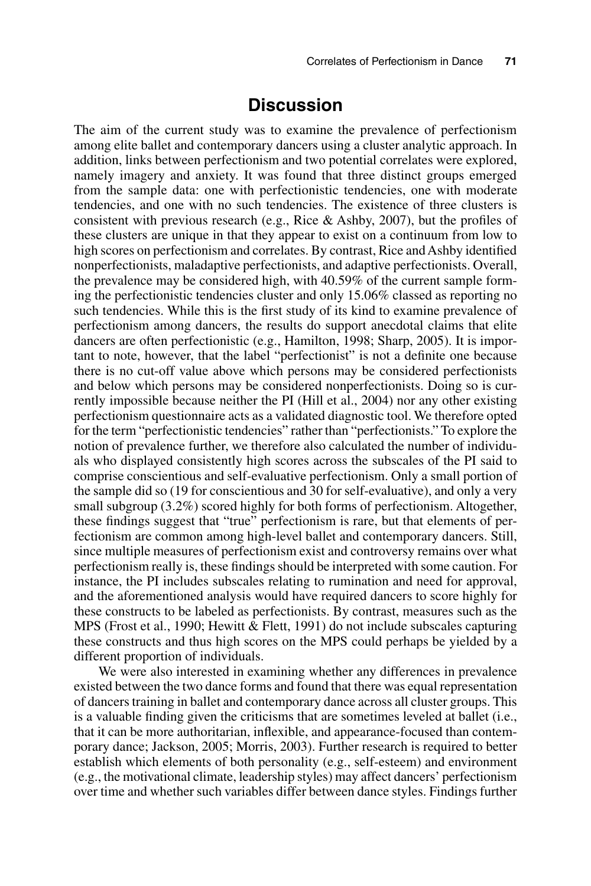## **Discussion**

The aim of the current study was to examine the prevalence of perfectionism among elite ballet and contemporary dancers using a cluster analytic approach. In addition, links between perfectionism and two potential correlates were explored, namely imagery and anxiety. It was found that three distinct groups emerged from the sample data: one with perfectionistic tendencies, one with moderate tendencies, and one with no such tendencies. The existence of three clusters is consistent with previous research (e.g., Rice & Ashby, 2007), but the profiles of these clusters are unique in that they appear to exist on a continuum from low to high scores on perfectionism and correlates. By contrast, Rice and Ashby identified nonperfectionists, maladaptive perfectionists, and adaptive perfectionists. Overall, the prevalence may be considered high, with 40.59% of the current sample forming the perfectionistic tendencies cluster and only 15.06% classed as reporting no such tendencies. While this is the first study of its kind to examine prevalence of perfectionism among dancers, the results do support anecdotal claims that elite dancers are often perfectionistic (e.g., Hamilton, 1998; Sharp, 2005). It is important to note, however, that the label "perfectionist" is not a definite one because there is no cut-off value above which persons may be considered perfectionists and below which persons may be considered nonperfectionists. Doing so is currently impossible because neither the PI (Hill et al., 2004) nor any other existing perfectionism questionnaire acts as a validated diagnostic tool. We therefore opted for the term "perfectionistic tendencies" rather than "perfectionists." To explore the notion of prevalence further, we therefore also calculated the number of individuals who displayed consistently high scores across the subscales of the PI said to comprise conscientious and self-evaluative perfectionism. Only a small portion of the sample did so (19 for conscientious and 30 for self-evaluative), and only a very small subgroup (3.2%) scored highly for both forms of perfectionism. Altogether, these findings suggest that "true" perfectionism is rare, but that elements of perfectionism are common among high-level ballet and contemporary dancers. Still, since multiple measures of perfectionism exist and controversy remains over what perfectionism really is, these findings should be interpreted with some caution. For instance, the PI includes subscales relating to rumination and need for approval, and the aforementioned analysis would have required dancers to score highly for these constructs to be labeled as perfectionists. By contrast, measures such as the MPS (Frost et al., 1990; Hewitt & Flett, 1991) do not include subscales capturing these constructs and thus high scores on the MPS could perhaps be yielded by a different proportion of individuals.

We were also interested in examining whether any differences in prevalence existed between the two dance forms and found that there was equal representation of dancers training in ballet and contemporary dance across all cluster groups. This is a valuable finding given the criticisms that are sometimes leveled at ballet (i.e., that it can be more authoritarian, inflexible, and appearance-focused than contemporary dance; Jackson, 2005; Morris, 2003). Further research is required to better establish which elements of both personality (e.g., self-esteem) and environment (e.g., the motivational climate, leadership styles) may affect dancers' perfectionism over time and whether such variables differ between dance styles. Findings further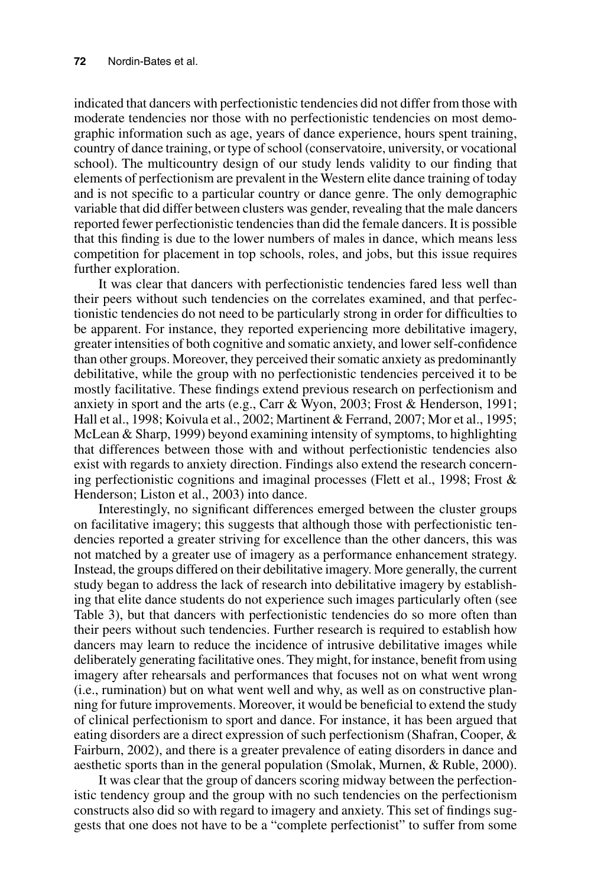indicated that dancers with perfectionistic tendencies did not differ from those with moderate tendencies nor those with no perfectionistic tendencies on most demographic information such as age, years of dance experience, hours spent training, country of dance training, or type of school (conservatoire, university, or vocational school). The multicountry design of our study lends validity to our finding that elements of perfectionism are prevalent in the Western elite dance training of today and is not specific to a particular country or dance genre. The only demographic variable that did differ between clusters was gender, revealing that the male dancers reported fewer perfectionistic tendencies than did the female dancers. It is possible that this finding is due to the lower numbers of males in dance, which means less competition for placement in top schools, roles, and jobs, but this issue requires further exploration.

It was clear that dancers with perfectionistic tendencies fared less well than their peers without such tendencies on the correlates examined, and that perfectionistic tendencies do not need to be particularly strong in order for difficulties to be apparent. For instance, they reported experiencing more debilitative imagery, greater intensities of both cognitive and somatic anxiety, and lower self-confidence than other groups. Moreover, they perceived their somatic anxiety as predominantly debilitative, while the group with no perfectionistic tendencies perceived it to be mostly facilitative. These findings extend previous research on perfectionism and anxiety in sport and the arts (e.g., Carr & Wyon, 2003; Frost & Henderson, 1991; Hall et al., 1998; Koivula et al., 2002; Martinent & Ferrand, 2007; Mor et al., 1995; McLean & Sharp, 1999) beyond examining intensity of symptoms, to highlighting that differences between those with and without perfectionistic tendencies also exist with regards to anxiety direction. Findings also extend the research concerning perfectionistic cognitions and imaginal processes (Flett et al., 1998; Frost  $\&$ Henderson; Liston et al., 2003) into dance.

Interestingly, no significant differences emerged between the cluster groups on facilitative imagery; this suggests that although those with perfectionistic tendencies reported a greater striving for excellence than the other dancers, this was not matched by a greater use of imagery as a performance enhancement strategy. Instead, the groups differed on their debilitative imagery. More generally, the current study began to address the lack of research into debilitative imagery by establishing that elite dance students do not experience such images particularly often (see Table 3), but that dancers with perfectionistic tendencies do so more often than their peers without such tendencies. Further research is required to establish how dancers may learn to reduce the incidence of intrusive debilitative images while deliberately generating facilitative ones. They might, for instance, benefit from using imagery after rehearsals and performances that focuses not on what went wrong (i.e., rumination) but on what went well and why, as well as on constructive planning for future improvements. Moreover, it would be beneficial to extend the study of clinical perfectionism to sport and dance. For instance, it has been argued that eating disorders are a direct expression of such perfectionism (Shafran, Cooper, & Fairburn, 2002), and there is a greater prevalence of eating disorders in dance and aesthetic sports than in the general population (Smolak, Murnen, & Ruble, 2000).

It was clear that the group of dancers scoring midway between the perfectionistic tendency group and the group with no such tendencies on the perfectionism constructs also did so with regard to imagery and anxiety. This set of findings suggests that one does not have to be a "complete perfectionist" to suffer from some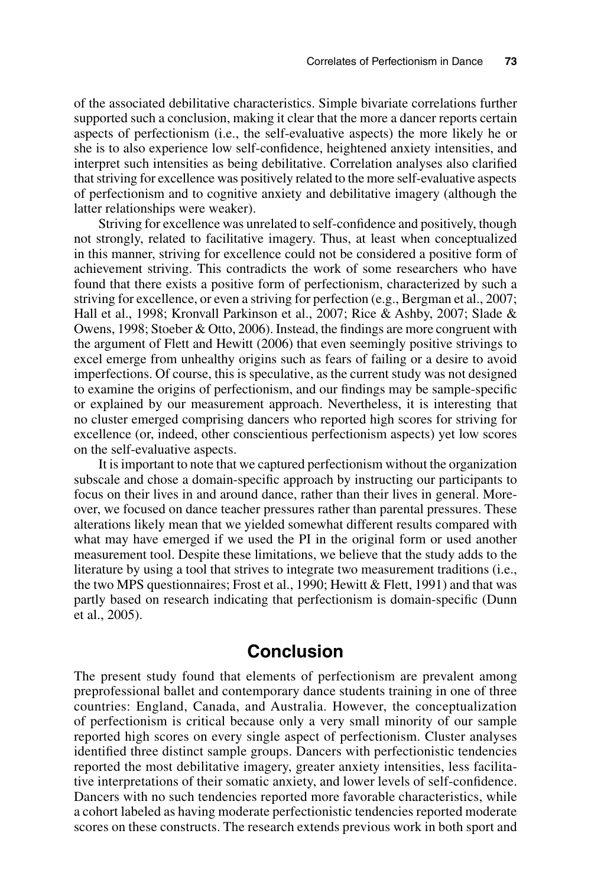of the associated debilitative characteristics. Simple bivariate correlations further supported such a conclusion, making it clear that the more a dancer reports certain aspects of perfectionism (i.e., the self-evaluative aspects) the more likely he or she is to also experience low self-confidence, heightened anxiety intensities, and interpret such intensities as being debilitative. Correlation analyses also clarified that striving for excellence was positively related to the more self-evaluative aspects of perfectionism and to cognitive anxiety and debilitative imagery (although the latter relationships were weaker).

Striving for excellence was unrelated to self-confidence and positively, though not strongly, related to facilitative imagery. Thus, at least when conceptualized in this manner, striving for excellence could not be considered a positive form of achievement striving. This contradicts the work of some researchers who have found that there exists a positive form of perfectionism, characterized by such a striving for excellence, or even a striving for perfection (e.g., Bergman et al., 2007; Hall et al., 1998; Kronvall Parkinson et al., 2007; Rice & Ashby, 2007; Slade & Owens, 1998; Stoeber & Otto, 2006). Instead, the findings are more congruent with the argument of Flett and Hewitt (2006) that even seemingly positive strivings to excel emerge from unhealthy origins such as fears of failing or a desire to avoid imperfections. Of course, this is speculative, as the current study was not designed to examine the origins of perfectionism, and our findings may be sample-specific or explained by our measurement approach. Nevertheless, it is interesting that no cluster emerged comprising dancers who reported high scores for striving for excellence (or, indeed, other conscientious perfectionism aspects) yet low scores on the self-evaluative aspects.

It is important to note that we captured perfectionism without the organization subscale and chose a domain-specific approach by instructing our participants to focus on their lives in and around dance, rather than their lives in general. Moreover, we focused on dance teacher pressures rather than parental pressures. These alterations likely mean that we yielded somewhat different results compared with what may have emerged if we used the PI in the original form or used another measurement tool. Despite these limitations, we believe that the study adds to the literature by using a tool that strives to integrate two measurement traditions (i.e., the two MPS questionnaires; Frost et al., 1990; Hewitt & Flett, 1991) and that was partly based on research indicating that perfectionism is domain-specific (Dunn et al., 2005).

## **Conclusion**

The present study found that elements of perfectionism are prevalent among preprofessional ballet and contemporary dance students training in one of three countries: England, Canada, and Australia. However, the conceptualization of perfectionism is critical because only a very small minority of our sample reported high scores on every single aspect of perfectionism. Cluster analyses identified three distinct sample groups. Dancers with perfectionistic tendencies reported the most debilitative imagery, greater anxiety intensities, less facilitative interpretations of their somatic anxiety, and lower levels of self-confidence. Dancers with no such tendencies reported more favorable characteristics, while a cohort labeled as having moderate perfectionistic tendencies reported moderate scores on these constructs. The research extends previous work in both sport and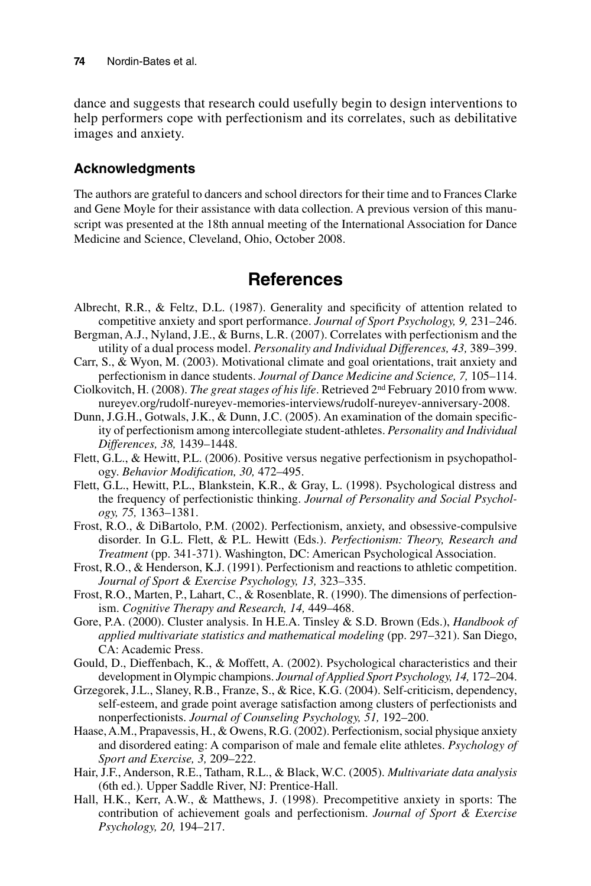dance and suggests that research could usefully begin to design interventions to help performers cope with perfectionism and its correlates, such as debilitative images and anxiety.

#### **Acknowledgments**

The authors are grateful to dancers and school directors for their time and to Frances Clarke and Gene Moyle for their assistance with data collection. A previous version of this manuscript was presented at the 18th annual meeting of the International Association for Dance Medicine and Science, Cleveland, Ohio, October 2008.

## **References**

- Albrecht, R.R., & Feltz, D.L. (1987). Generality and specificity of attention related to competitive anxiety and sport performance. *Journal of Sport Psychology, 9,* 231–246.
- Bergman, A.J., Nyland, J.E., & Burns, L.R. (2007). Correlates with perfectionism and the utility of a dual process model. *Personality and Individual Differences, 43,* 389–399.
- Carr, S., & Wyon, M. (2003). Motivational climate and goal orientations, trait anxiety and perfectionism in dance students. *Journal of Dance Medicine and Science, 7,* 105–114.
- Ciolkovitch, H. (2008). *The great stages of his life*. Retrieved 2nd February 2010 from www. nureyev.org/rudolf-nureyev-memories-interviews/rudolf-nureyev-anniversary-2008.
- Dunn, J.G.H., Gotwals, J.K., & Dunn, J.C. (2005). An examination of the domain specificity of perfectionism among intercollegiate student-athletes. *Personality and Individual Differences, 38,* 1439–1448.
- Flett, G.L., & Hewitt, P.L. (2006). Positive versus negative perfectionism in psychopathology. *Behavior Modification, 30,* 472–495.
- Flett, G.L., Hewitt, P.L., Blankstein, K.R., & Gray, L. (1998). Psychological distress and the frequency of perfectionistic thinking. *Journal of Personality and Social Psychology, 75,* 1363–1381.
- Frost, R.O., & DiBartolo, P.M. (2002). Perfectionism, anxiety, and obsessive-compulsive disorder. In G.L. Flett, & P.L. Hewitt (Eds.). *Perfectionism: Theory, Research and Treatment* (pp. 341-371). Washington, DC: American Psychological Association.
- Frost, R.O., & Henderson, K.J. (1991). Perfectionism and reactions to athletic competition. *Journal of Sport & Exercise Psychology, 13,* 323–335.
- Frost, R.O., Marten, P., Lahart, C., & Rosenblate, R. (1990). The dimensions of perfectionism. *Cognitive Therapy and Research, 14,* 449–468.
- Gore, P.A. (2000). Cluster analysis. In H.E.A. Tinsley & S.D. Brown (Eds.), *Handbook of applied multivariate statistics and mathematical modeling* (pp. 297–321). San Diego, CA: Academic Press.
- Gould, D., Dieffenbach, K., & Moffett, A. (2002). Psychological characteristics and their development in Olympic champions. *Journal of Applied Sport Psychology, 14,* 172–204.
- Grzegorek, J.L., Slaney, R.B., Franze, S., & Rice, K.G. (2004). Self-criticism, dependency, self-esteem, and grade point average satisfaction among clusters of perfectionists and nonperfectionists. *Journal of Counseling Psychology, 51,* 192–200.
- Haase, A.M., Prapavessis, H., & Owens, R.G. (2002). Perfectionism, social physique anxiety and disordered eating: A comparison of male and female elite athletes. *Psychology of Sport and Exercise, 3,* 209–222.
- Hair, J.F., Anderson, R.E., Tatham, R.L., & Black, W.C. (2005). *Multivariate data analysis* (6th ed.). Upper Saddle River, NJ: Prentice-Hall.
- Hall, H.K., Kerr, A.W., & Matthews, J. (1998). Precompetitive anxiety in sports: The contribution of achievement goals and perfectionism. *Journal of Sport & Exercise Psychology, 20,* 194–217.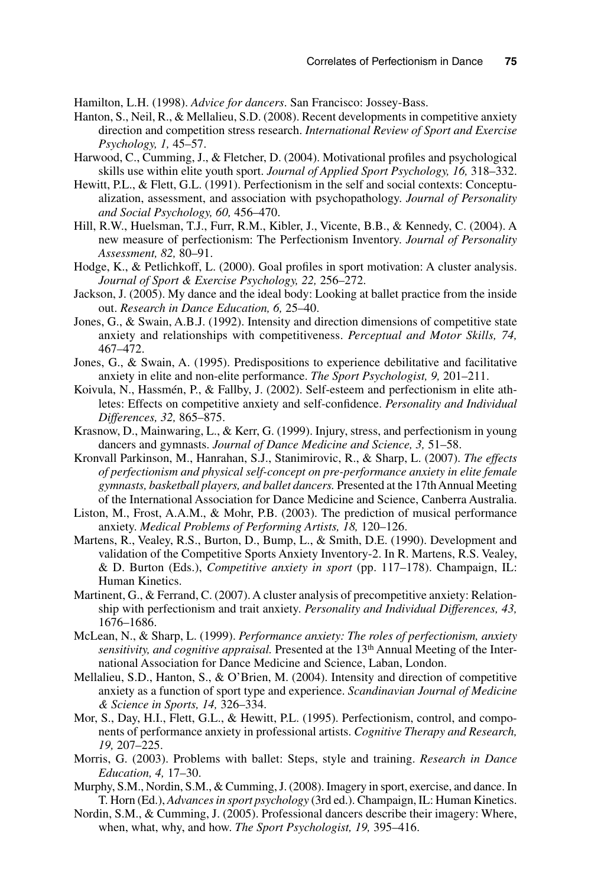Hamilton, L.H. (1998). *Advice for dancers*. San Francisco: Jossey-Bass.

- Hanton, S., Neil, R., & Mellalieu, S.D. (2008). Recent developments in competitive anxiety direction and competition stress research. *International Review of Sport and Exercise Psychology, 1,* 45–57.
- Harwood, C., Cumming, J., & Fletcher, D. (2004). Motivational profiles and psychological skills use within elite youth sport. *Journal of Applied Sport Psychology, 16,* 318–332.
- Hewitt, P.L., & Flett, G.L. (1991). Perfectionism in the self and social contexts: Conceptualization, assessment, and association with psychopathology. *Journal of Personality and Social Psychology, 60,* 456–470.
- Hill, R.W., Huelsman, T.J., Furr, R.M., Kibler, J., Vicente, B.B., & Kennedy, C. (2004). A new measure of perfectionism: The Perfectionism Inventory. *Journal of Personality Assessment, 82,* 80–91.
- Hodge, K., & Petlichkoff, L. (2000). Goal profiles in sport motivation: A cluster analysis. *Journal of Sport & Exercise Psychology, 22,* 256–272.
- Jackson, J. (2005). My dance and the ideal body: Looking at ballet practice from the inside out. *Research in Dance Education, 6,* 25–40.
- Jones, G., & Swain, A.B.J. (1992). Intensity and direction dimensions of competitive state anxiety and relationships with competitiveness. *Perceptual and Motor Skills, 74,* 467–472.
- Jones, G., & Swain, A. (1995). Predispositions to experience debilitative and facilitative anxiety in elite and non-elite performance. *The Sport Psychologist, 9,* 201–211.
- Koivula, N., Hassmén, P., & Fallby, J. (2002). Self-esteem and perfectionism in elite athletes: Effects on competitive anxiety and self-confidence. *Personality and Individual Differences, 32,* 865–875.
- Krasnow, D., Mainwaring, L., & Kerr, G. (1999). Injury, stress, and perfectionism in young dancers and gymnasts. *Journal of Dance Medicine and Science, 3,* 51–58.
- Kronvall Parkinson, M., Hanrahan, S.J., Stanimirovic, R., & Sharp, L. (2007). *The effects of perfectionism and physical self-concept on pre-performance anxiety in elite female gymnasts, basketball players, and ballet dancers.* Presented at the 17th Annual Meeting of the International Association for Dance Medicine and Science, Canberra Australia.
- Liston, M., Frost, A.A.M., & Mohr, P.B. (2003). The prediction of musical performance anxiety. *Medical Problems of Performing Artists, 18,* 120–126.
- Martens, R., Vealey, R.S., Burton, D., Bump, L., & Smith, D.E. (1990). Development and validation of the Competitive Sports Anxiety Inventory-2. In R. Martens, R.S. Vealey, & D. Burton (Eds.), *Competitive anxiety in sport* (pp. 117–178). Champaign, IL: Human Kinetics.
- Martinent, G., & Ferrand, C. (2007). A cluster analysis of precompetitive anxiety: Relationship with perfectionism and trait anxiety. *Personality and Individual Differences, 43,* 1676–1686.
- McLean, N., & Sharp, L. (1999). *Performance anxiety: The roles of perfectionism, anxiety sensitivity, and cognitive appraisal.* Presented at the 13th Annual Meeting of the International Association for Dance Medicine and Science, Laban, London.
- Mellalieu, S.D., Hanton, S., & O'Brien, M. (2004). Intensity and direction of competitive anxiety as a function of sport type and experience. *Scandinavian Journal of Medicine & Science in Sports, 14,* 326–334.
- Mor, S., Day, H.I., Flett, G.L., & Hewitt, P.L. (1995). Perfectionism, control, and components of performance anxiety in professional artists. *Cognitive Therapy and Research, 19,* 207–225.
- Morris, G. (2003). Problems with ballet: Steps, style and training. *Research in Dance Education, 4,* 17–30.
- Murphy, S.M., Nordin, S.M., & Cumming, J. (2008). Imagery in sport, exercise, and dance. In T. Horn (Ed.), *Advances in sport psychology* (3rd ed.). Champaign, IL: Human Kinetics.
- Nordin, S.M., & Cumming, J. (2005). Professional dancers describe their imagery: Where, when, what, why, and how. *The Sport Psychologist, 19,* 395–416.